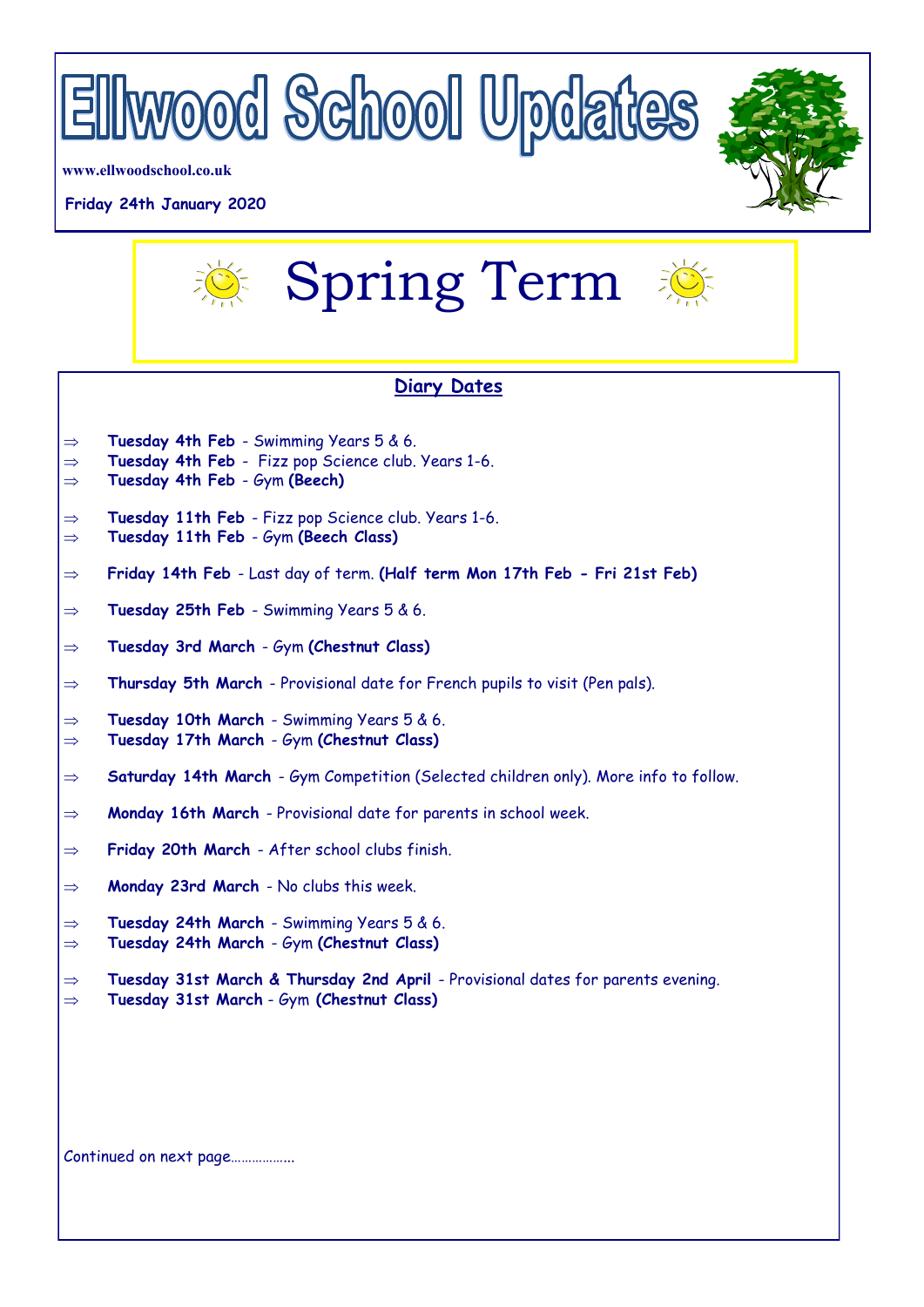

**www.ellwoodschool.co.uk**

## **Friday 24th January 2020**





## **Diary Dates**

- $\Rightarrow$  Tuesday 4th Feb Swimming Years 5 & 6.
- **Tuesday 4th Feb**  Fizz pop Science club. Years 1-6.
- **Tuesday 4th Feb**  Gym **(Beech)**
- $\Rightarrow$  Tuesday 11th Feb Fizz pop Science club. Years 1-6.
- **Tuesday 11th Feb**  Gym **(Beech Class)**
- **Friday 14th Feb**  Last day of term. **(Half term Mon 17th Feb - Fri 21st Feb)**
- **Tuesday 25th Feb**  Swimming Years 5 & 6.
- **Tuesday 3rd March**  Gym **(Chestnut Class)**
- $\Rightarrow$  **Thursday 5th March** Provisional date for French pupils to visit (Pen pals).
- **Tuesday 10th March**  Swimming Years 5 & 6.
- **Tuesday 17th March**  Gym **(Chestnut Class)**
- **Saturday 14th March**  Gym Competition (Selected children only). More info to follow.
- **Monday 16th March**  Provisional date for parents in school week.
- **Friday 20th March**  After school clubs finish.
- **Monday 23rd March**  No clubs this week.
- **Tuesday 24th March**  Swimming Years 5 & 6.
- **Tuesday 24th March**  Gym **(Chestnut Class)**
- **Tuesday 31st March & Thursday 2nd April**  Provisional dates for parents evening. **Tuesday 31st March** - Gym **(Chestnut Class)**

Continued on next page……………...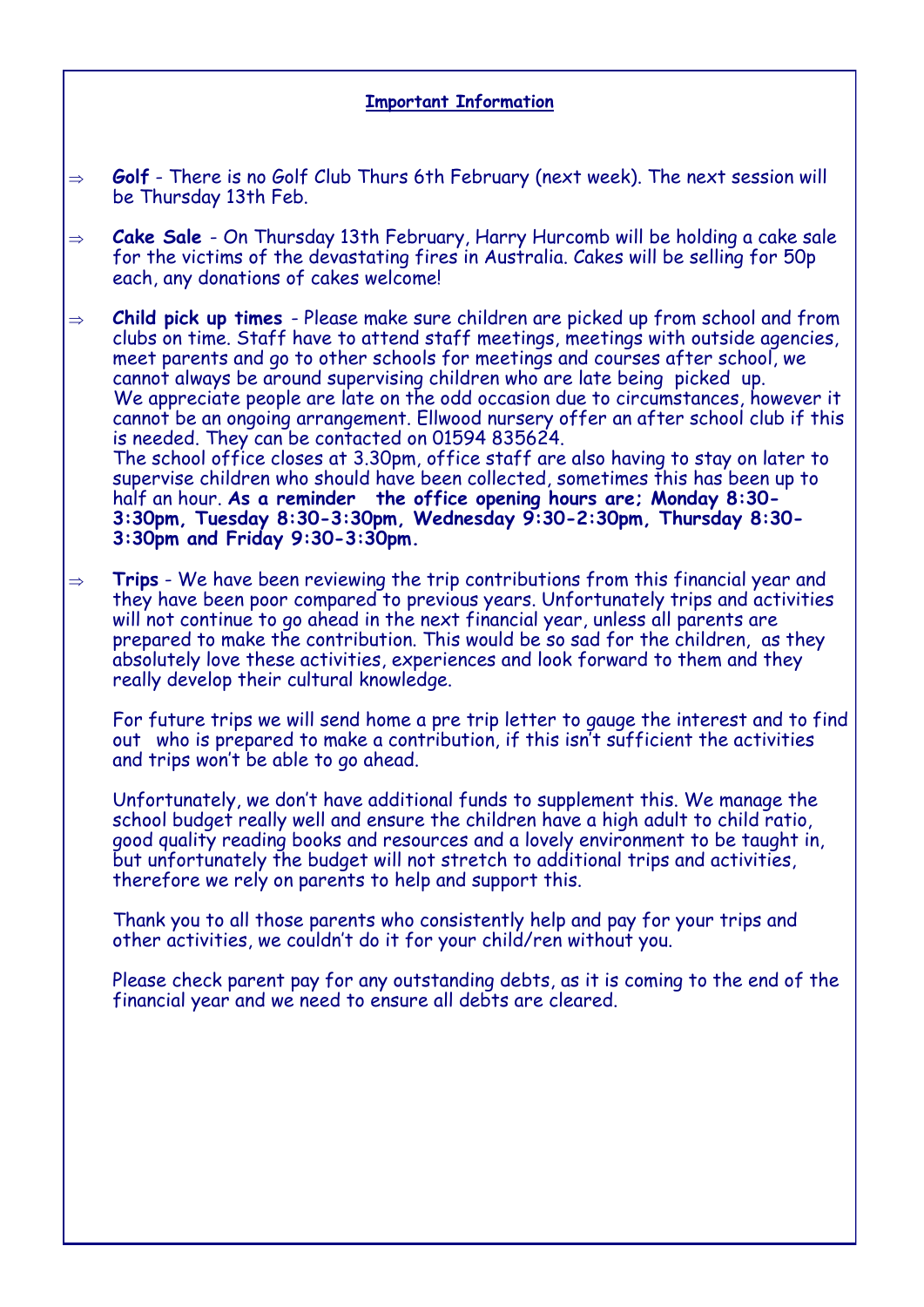## **Important Information**

- $\Rightarrow$  **Golf** There is no Golf Club Thurs 6th February (next week). The next session will be Thursday 13th Feb.
- **Cake Sale**  On Thursday 13th February, Harry Hurcomb will be holding a cake sale for the victims of the devastating fires in Australia. Cakes will be selling for 50p each, any donations of cakes welcome!

 **Child pick up times** - Please make sure children are picked up from school and from clubs on time. Staff have to attend staff meetings, meetings with outside agencies, meet parents and go to other schools for meetings and courses after school, we cannot always be around supervising children who are late being picked up. We appreciate people are late on the odd occasion due to circumstances, however it cannot be an ongoing arrangement. Ellwood nursery offer an after school club if this is needed. They can be contacted on 01594 835624. The school office closes at 3.30pm, office staff are also having to stay on later to supervise children who should have been collected, sometimes this has been up to half an hour. **As a reminder the office opening hours are; Monday 8:30- 3:30pm, Tuesday 8:30-3:30pm, Wednesday 9:30-2:30pm, Thursday 8:30- 3:30pm and Friday 9:30-3:30pm.**

 $\Rightarrow$  **Trips** - We have been reviewing the trip contributions from this financial year and they have been poor compared to previous years. Unfortunately trips and activities will not continue to go ahead in the next financial year, unless all parents are prepared to make the contribution. This would be so sad for the children, as they absolutely love these activities, experiences and look forward to them and they really develop their cultural knowledge.

For future trips we will send home a pre trip letter to gauge the interest and to find out who is prepared to make a contribution, if this isn't sufficient the activities and trips won't be able to go ahead.

Unfortunately, we don't have additional funds to supplement this. We manage the school budget really well and ensure the children have a high adult to child ratio, good quality reading books and resources and a lovely environment to be taught in, but unfortunately the budget will not stretch to additional trips and activities, therefore we rely on parents to help and support this.

Thank you to all those parents who consistently help and pay for your trips and other activities, we couldn't do it for your child/ren without you.

Please check parent pay for any outstanding debts, as it is coming to the end of the financial year and we need to ensure all debts are cleared.